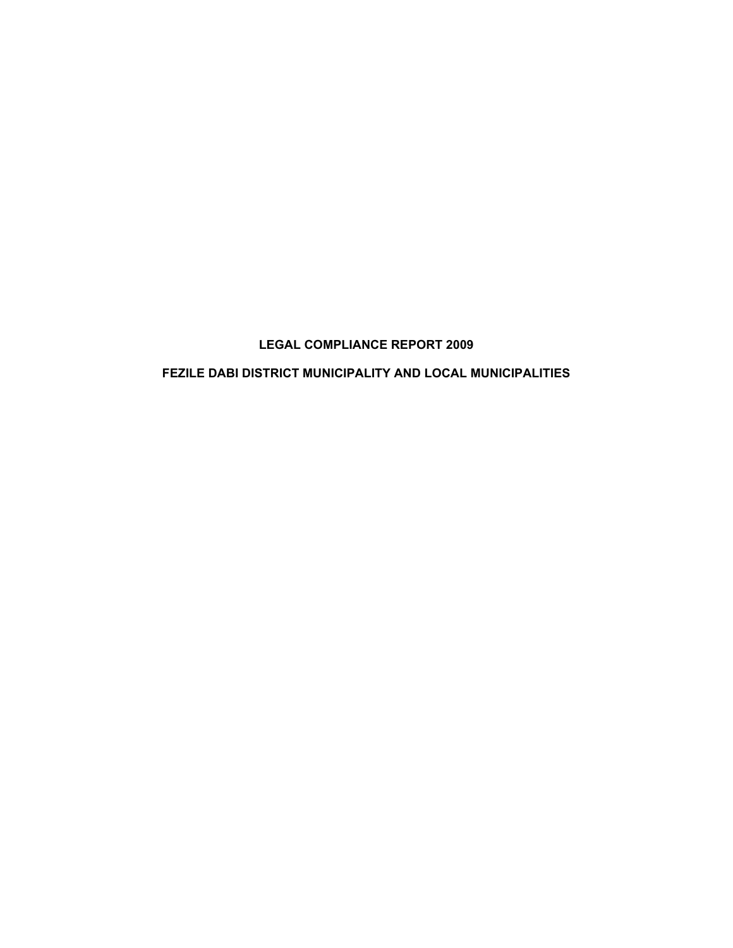# **LEGAL COMPLIANCE REPORT 2009**

# **FEZILE DABI DISTRICT MUNICIPALITY AND LOCAL MUNICIPALITIES**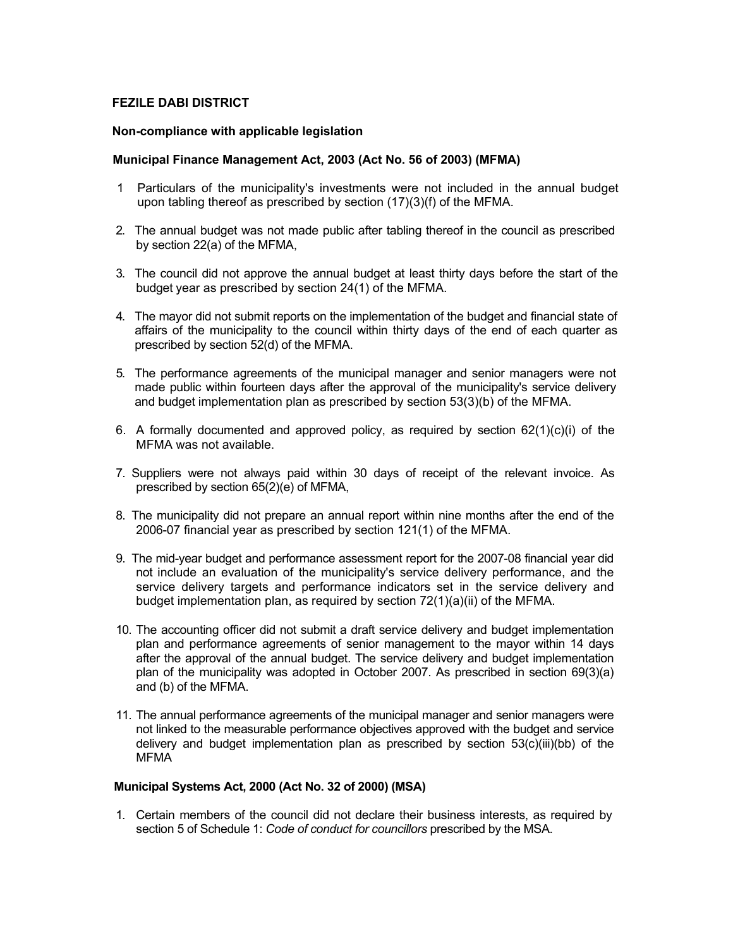## **FEZILE DABI DISTRICT**

#### **Non-compliance with applicable legislation**

#### **Municipal Finance Management Act, 2003 (Act No. 56 of 2003) (MFMA)**

- 1 Particulars of the municipality's investments were not included in the annual budget upon tabling thereof as prescribed by section (17)(3)(f) of the MFMA.
- 2. The annual budget was not made public after tabling thereof in the council as prescribed by section 22(a) of the MFMA,
- 3. The council did not approve the annual budget at least thirty days before the start of the budget year as prescribed by section 24(1) of the MFMA.
- 4. The mayor did not submit reports on the implementation of the budget and financial state of affairs of the municipality to the council within thirty days of the end of each quarter as prescribed by section 52(d) of the MFMA.
- 5. The performance agreements of the municipal manager and senior managers were not made public within fourteen days after the approval of the municipality's service delivery and budget implementation plan as prescribed by section 53(3)(b) of the MFMA.
- 6. A formally documented and approved policy, as required by section  $62(1)(c)(i)$  of the MFMA was not available.
- 7. Suppliers were not always paid within 30 days of receipt of the relevant invoice. As prescribed by section 65(2)(e) of MFMA,
- 8. The municipality did not prepare an annual report within nine months after the end of the 2006-07 financial year as prescribed by section 121(1) of the MFMA.
- 9. The mid-year budget and performance assessment report for the 2007-08 financial year did not include an evaluation of the municipality's service delivery performance, and the service delivery targets and performance indicators set in the service delivery and budget implementation plan, as required by section 72(1)(a)(ii) of the MFMA.
- 10. The accounting officer did not submit a draft service delivery and budget implementation plan and performance agreements of senior management to the mayor within 14 days after the approval of the annual budget. The service delivery and budget implementation plan of the municipality was adopted in October 2007. As prescribed in section 69(3)(a) and (b) of the MFMA.
- 11. The annual performance agreements of the municipal manager and senior managers were not linked to the measurable performance objectives approved with the budget and service delivery and budget implementation plan as prescribed by section 53(c)(iii)(bb) of the MFMA

#### **Municipal Systems Act, 2000 (Act No. 32 of 2000) (MSA)**

1. Certain members of the council did not declare their business interests, as required by section 5 of Schedule 1: *Code of conduct for councillors* prescribed by the MSA.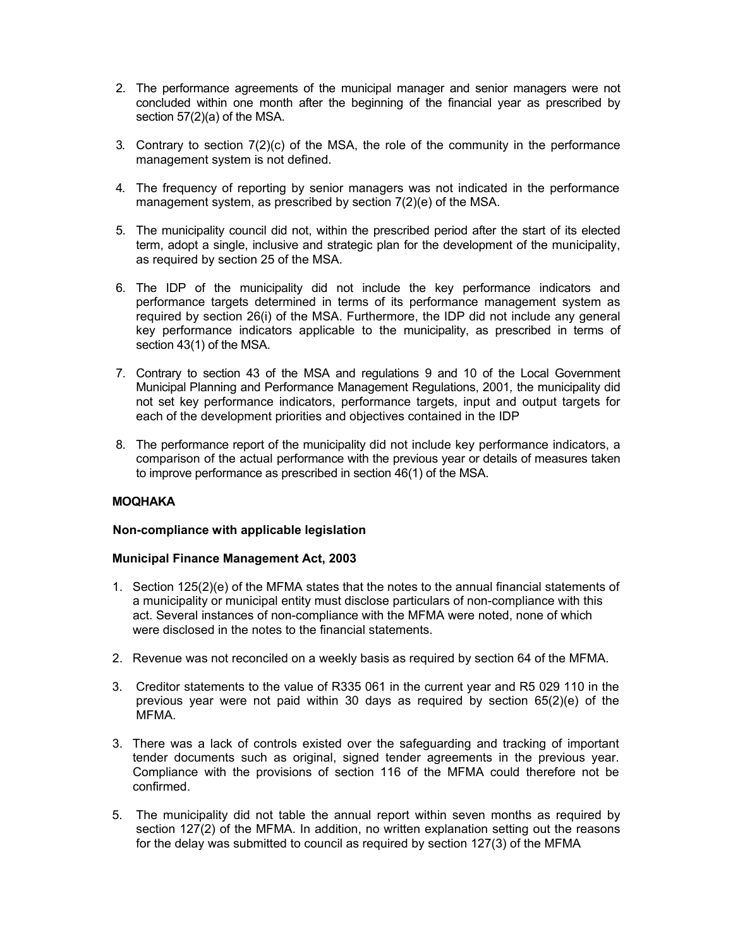- 2. The performance agreements of the municipal manager and senior managers were not concluded within one month after the beginning of the financial year as prescribed by section 57(2)(a) of the MSA.
- 3. Contrary to section 7(2)(c) of the MSA, the role of the community in the performance management system is not defined.
- 4. The frequency of reporting by senior managers was not indicated in the performance management system, as prescribed by section 7(2)(e) of the MSA.
- 5. The municipality council did not, within the prescribed period after the start of its elected term, adopt a single, inclusive and strategic plan for the development of the municipality, as required by section 25 of the MSA.
- 6. The IDP of the municipality did not include the key performance indicators and performance targets determined in terms of its performance management system as required by section 26(i) of the MSA. Furthermore, the IDP did not include any general key performance indicators applicable to the municipality, as prescribed in terms of section 43(1) of the MSA.
- 7. Contrary to section 43 of the MSA and regulations 9 and 10 of the Local Government Municipal Planning and Performance Management Regulations, 2001*,* the municipality did not set key performance indicators, performance targets, input and output targets for each of the development priorities and objectives contained in the IDP
- 8. The performance report of the municipality did not include key performance indicators, a comparison of the actual performance with the previous year or details of measures taken to improve performance as prescribed in section 46(1) of the MSA.

## **MOQHAKA**

## **Non-compliance with applicable legislation**

#### **Municipal Finance Management Act, 2003**

- 1. Section 125(2)(e) of the MFMA states that the notes to the annual financial statements of a municipality or municipal entity must disclose particulars of non-compliance with this act. Several instances of non-compliance with the MFMA were noted, none of which were disclosed in the notes to the financial statements.
- 2. Revenue was not reconciled on a weekly basis as required by section 64 of the MFMA.
- 3. Creditor statements to the value of R335 061 in the current year and R5 029 110 in the previous year were not paid within 30 days as required by section 65(2)(e) of the MFMA.
- 3. There was a lack of controls existed over the safeguarding and tracking of important tender documents such as original, signed tender agreements in the previous year. Compliance with the provisions of section 116 of the MFMA could therefore not be confirmed.
- 5. The municipality did not table the annual report within seven months as required by section 127(2) of the MFMA. In addition, no written explanation setting out the reasons for the delay was submitted to council as required by section 127(3) of the MFMA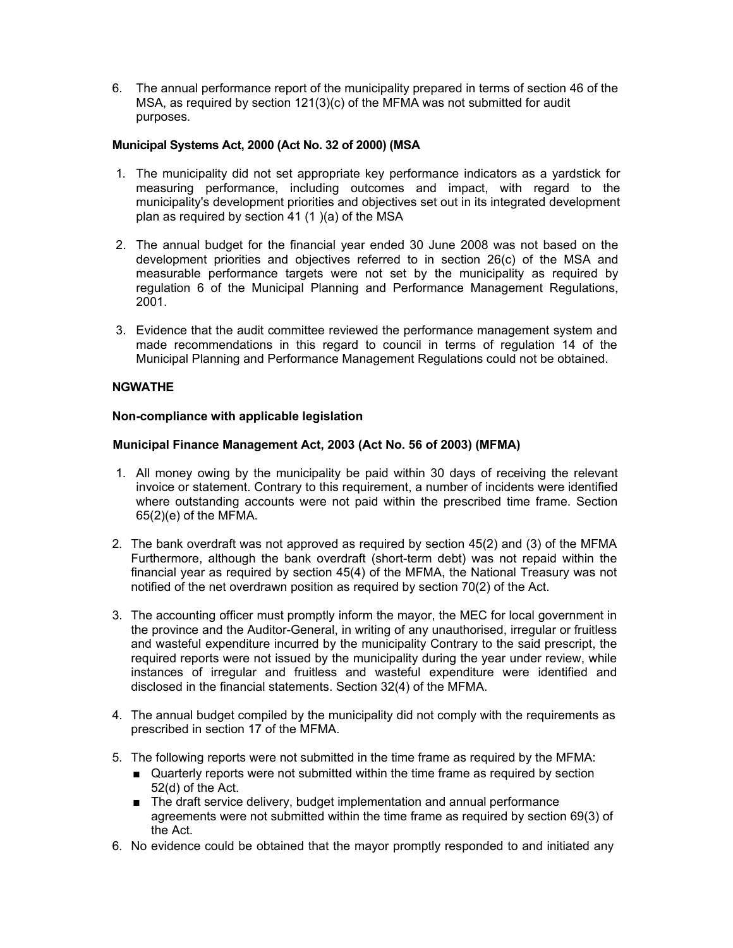6. The annual performance report of the municipality prepared in terms of section 46 of the MSA, as required by section 121(3)(c) of the MFMA was not submitted for audit purposes.

## **Municipal Systems Act, 2000 (Act No. 32 of 2000) (MSA**

- 1. The municipality did not set appropriate key performance indicators as a yardstick for measuring performance, including outcomes and impact, with regard to the municipality's development priorities and objectives set out in its integrated development plan as required by section 41 (1 )(a) of the MSA
- 2. The annual budget for the financial year ended 30 June 2008 was not based on the development priorities and objectives referred to in section 26(c) of the MSA and measurable performance targets were not set by the municipality as required by regulation 6 of the Municipal Planning and Performance Management Regulations, 2001.
- 3. Evidence that the audit committee reviewed the performance management system and made recommendations in this regard to council in terms of regulation 14 of the Municipal Planning and Performance Management Regulations could not be obtained.

# **NGWATHE**

## **Non-compliance with applicable legislation**

## **Municipal Finance Management Act, 2003 (Act No. 56 of 2003) (MFMA)**

- 1. All money owing by the municipality be paid within 30 days of receiving the relevant invoice or statement. Contrary to this requirement, a number of incidents were identified where outstanding accounts were not paid within the prescribed time frame. Section 65(2)(e) of the MFMA.
- 2. The bank overdraft was not approved as required by section 45(2) and (3) of the MFMA Furthermore, although the bank overdraft (short-term debt) was not repaid within the financial year as required by section 45(4) of the MFMA, the National Treasury was not notified of the net overdrawn position as required by section 70(2) of the Act.
- 3. The accounting officer must promptly inform the mayor, the MEC for local government in the province and the Auditor-General, in writing of any unauthorised, irregular or fruitless and wasteful expenditure incurred by the municipality Contrary to the said prescript, the required reports were not issued by the municipality during the year under review, while instances of irregular and fruitless and wasteful expenditure were identified and disclosed in the financial statements. Section 32(4) of the MFMA.
- 4. The annual budget compiled by the municipality did not comply with the requirements as prescribed in section 17 of the MFMA.
- 5. The following reports were not submitted in the time frame as required by the MFMA:
	- Quarterly reports were not submitted within the time frame as required by section 52(d) of the Act.
	- The draft service delivery, budget implementation and annual performance agreements were not submitted within the time frame as required by section 69(3) of the Act.
- 6. No evidence could be obtained that the mayor promptly responded to and initiated any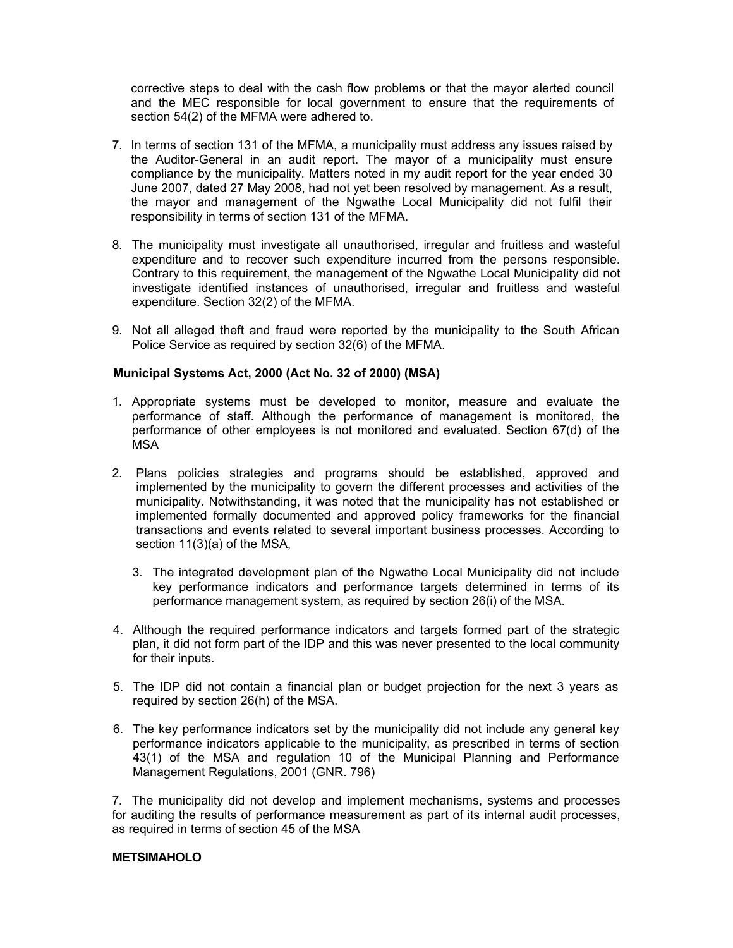corrective steps to deal with the cash flow problems or that the mayor alerted council and the MEC responsible for local government to ensure that the requirements of section 54(2) of the MFMA were adhered to.

- 7. In terms of section 131 of the MFMA, a municipality must address any issues raised by the Auditor-General in an audit report. The mayor of a municipality must ensure compliance by the municipality. Matters noted in my audit report for the year ended 30 June 2007, dated 27 May 2008, had not yet been resolved by management. As a result, the mayor and management of the Ngwathe Local Municipality did not fulfil their responsibility in terms of section 131 of the MFMA.
- 8. The municipality must investigate all unauthorised, irregular and fruitless and wasteful expenditure and to recover such expenditure incurred from the persons responsible. Contrary to this requirement, the management of the Ngwathe Local Municipality did not investigate identified instances of unauthorised, irregular and fruitless and wasteful expenditure. Section 32(2) of the MFMA.
- 9. Not all alleged theft and fraud were reported by the municipality to the South African Police Service as required by section 32(6) of the MFMA.

## **Municipal Systems Act, 2000 (Act No. 32 of 2000) (MSA)**

- 1. Appropriate systems must be developed to monitor, measure and evaluate the performance of staff. Although the performance of management is monitored, the performance of other employees is not monitored and evaluated. Section 67(d) of the MSA
- 2. Plans policies strategies and programs should be established, approved and implemented by the municipality to govern the different processes and activities of the municipality. Notwithstanding, it was noted that the municipality has not established or implemented formally documented and approved policy frameworks for the financial transactions and events related to several important business processes. According to section 11(3)(a) of the MSA,
	- 3. The integrated development plan of the Ngwathe Local Municipality did not include key performance indicators and performance targets determined in terms of its performance management system, as required by section 26(i) of the MSA.
- 4. Although the required performance indicators and targets formed part of the strategic plan, it did not form part of the IDP and this was never presented to the local community for their inputs.
- 5. The IDP did not contain a financial plan or budget projection for the next 3 years as required by section 26(h) of the MSA.
- 6. The key performance indicators set by the municipality did not include any general key performance indicators applicable to the municipality, as prescribed in terms of section 43(1) of the MSA and regulation 10 of the Municipal Planning and Performance Management Regulations, 2001 (GNR. 796)

7. The municipality did not develop and implement mechanisms, systems and processes for auditing the results of performance measurement as part of its internal audit processes, as required in terms of section 45 of the MSA

### **METSIMAHOLO**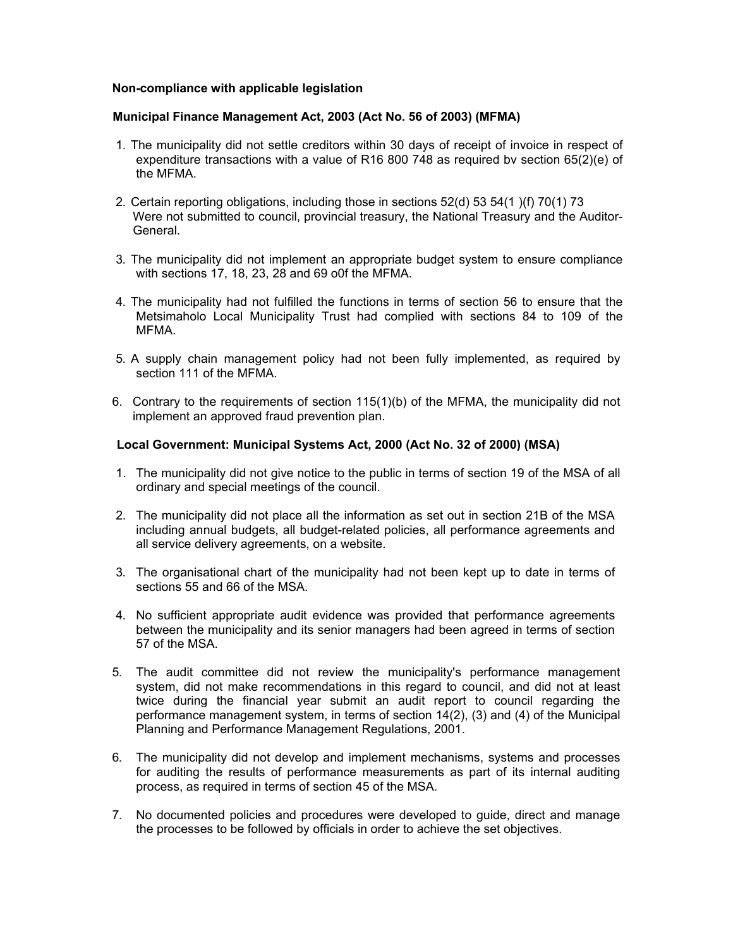#### **Non-compliance with applicable legislation**

### **Municipal Finance Management Act, 2003 (Act No. 56 of 2003) (MFMA)**

- 1. The municipality did not settle creditors within 30 days of receipt of invoice in respect of expenditure transactions with a value of R16 800 748 as required bv section 65(2)(e) of the MFMA.
- 2. Certain reporting obligations, including those in sections 52(d) 53 54(1 )(f) 70(1) 73 Were not submitted to council, provincial treasury, the National Treasury and the Auditor-General.
- 3. The municipality did not implement an appropriate budget system to ensure compliance with sections 17, 18, 23, 28 and 69 o0f the MFMA.
- 4. The municipality had not fulfilled the functions in terms of section 56 to ensure that the Metsimaholo Local Municipality Trust had complied with sections 84 to 109 of the MFMA.
- 5. A supply chain management policy had not been fully implemented, as required by section 111 of the MFMA.
- 6. Contrary to the requirements of section 115(1)(b) of the MFMA, the municipality did not implement an approved fraud prevention plan.

## **Local Government: Municipal Systems Act, 2000 (Act No. 32 of 2000) (MSA)**

- 1. The municipality did not give notice to the public in terms of section 19 of the MSA of all ordinary and special meetings of the council.
- 2. The municipality did not place all the information as set out in section 21B of the MSA including annual budgets, all budget-related policies, all performance agreements and all service delivery agreements, on a website.
- 3. The organisational chart of the municipality had not been kept up to date in terms of sections 55 and 66 of the MSA.
- 4. No sufficient appropriate audit evidence was provided that performance agreements between the municipality and its senior managers had been agreed in terms of section 57 of the MSA.
- 5. The audit committee did not review the municipality's performance management system, did not make recommendations in this regard to council, and did not at least twice during the financial year submit an audit report to council regarding the performance management system, in terms of section 14(2), (3) and (4) of the Municipal Planning and Performance Management Regulations, 2001.
- 6. The municipality did not develop and implement mechanisms, systems and processes for auditing the results of performance measurements as part of its internal auditing process, as required in terms of section 45 of the MSA.
- 7. No documented policies and procedures were developed to guide, direct and manage the processes to be followed by officials in order to achieve the set objectives.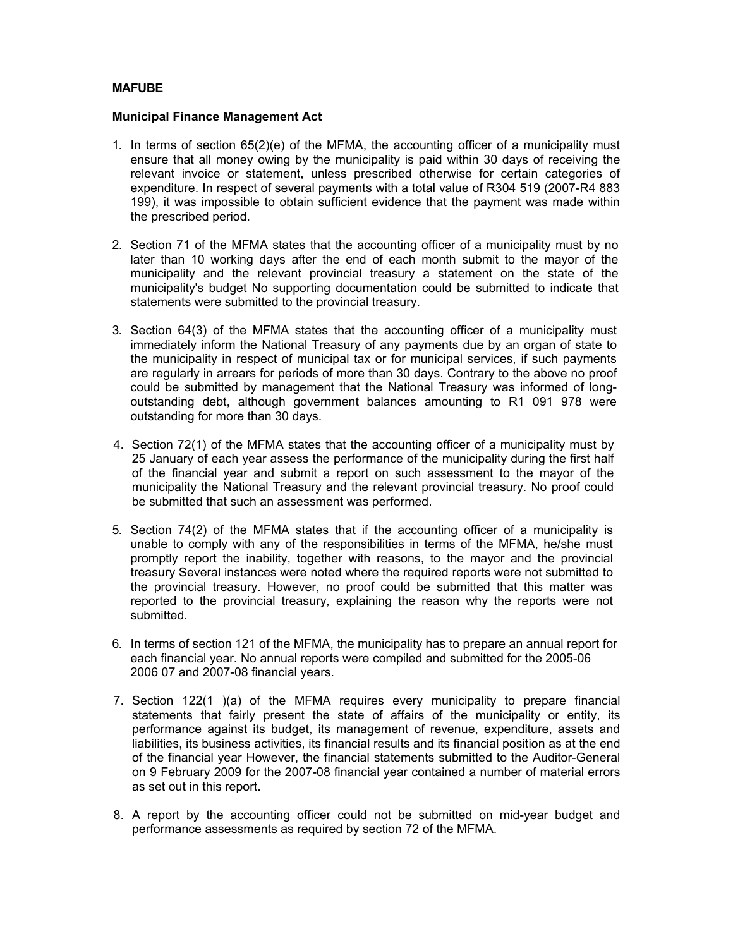### **MAFUBE**

#### **Municipal Finance Management Act**

- 1. In terms of section  $65(2)(e)$  of the MFMA, the accounting officer of a municipality must ensure that all money owing by the municipality is paid within 30 days of receiving the relevant invoice or statement, unless prescribed otherwise for certain categories of expenditure. In respect of several payments with a total value of R304 519 (2007-R4 883 199), it was impossible to obtain sufficient evidence that the payment was made within the prescribed period.
- 2. Section 71 of the MFMA states that the accounting officer of a municipality must by no later than 10 working days after the end of each month submit to the mayor of the municipality and the relevant provincial treasury a statement on the state of the municipality's budget No supporting documentation could be submitted to indicate that statements were submitted to the provincial treasury.
- 3. Section 64(3) of the MFMA states that the accounting officer of a municipality must immediately inform the National Treasury of any payments due by an organ of state to the municipality in respect of municipal tax or for municipal services, if such payments are regularly in arrears for periods of more than 30 days. Contrary to the above no proof could be submitted by management that the National Treasury was informed of longoutstanding debt, although government balances amounting to R1 091 978 were outstanding for more than 30 days.
- 4. Section 72(1) of the MFMA states that the accounting officer of a municipality must by 25 January of each year assess the performance of the municipality during the first half of the financial year and submit a report on such assessment to the mayor of the municipality the National Treasury and the relevant provincial treasury. No proof could be submitted that such an assessment was performed.
- 5. Section 74(2) of the MFMA states that if the accounting officer of a municipality is unable to comply with any of the responsibilities in terms of the MFMA, he/she must promptly report the inability, together with reasons, to the mayor and the provincial treasury Several instances were noted where the required reports were not submitted to the provincial treasury. However, no proof could be submitted that this matter was reported to the provincial treasury, explaining the reason why the reports were not submitted.
- 6. In terms of section 121 of the MFMA, the municipality has to prepare an annual report for each financial year. No annual reports were compiled and submitted for the 2005-06 2006 07 and 2007-08 financial years.
- 7. Section 122(1 )(a) of the MFMA requires every municipality to prepare financial statements that fairly present the state of affairs of the municipality or entity, its performance against its budget, its management of revenue, expenditure, assets and liabilities, its business activities, its financial results and its financial position as at the end of the financial year However, the financial statements submitted to the Auditor-General on 9 February 2009 for the 2007-08 financial year contained a number of material errors as set out in this report.
- 8. A report by the accounting officer could not be submitted on mid-year budget and performance assessments as required by section 72 of the MFMA.